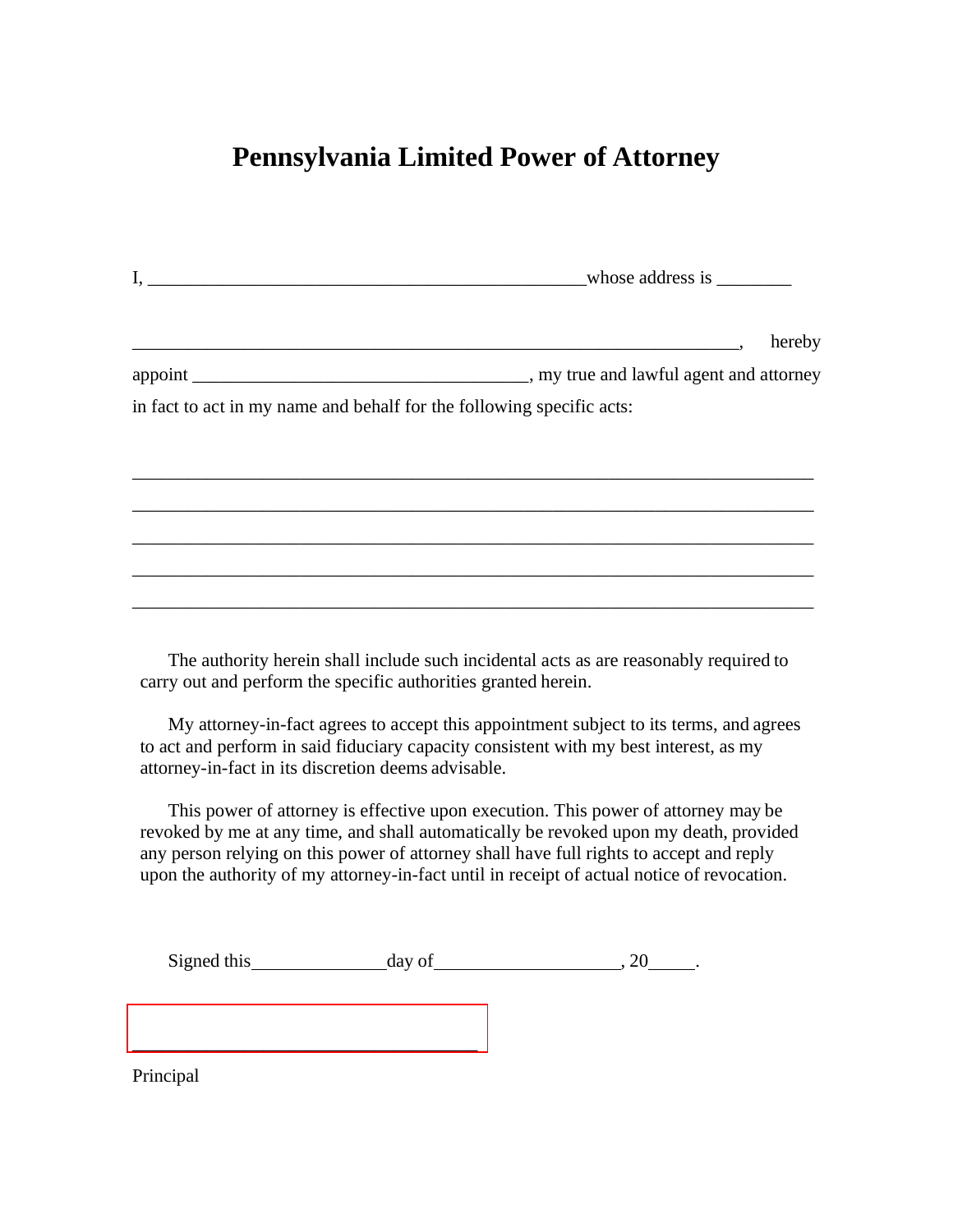## **Pennsylvania Limited Power of Attorney**

| hereby                                                                |  |
|-----------------------------------------------------------------------|--|
|                                                                       |  |
| in fact to act in my name and behalf for the following specific acts: |  |
|                                                                       |  |
|                                                                       |  |
|                                                                       |  |
|                                                                       |  |
|                                                                       |  |
|                                                                       |  |
|                                                                       |  |
|                                                                       |  |
|                                                                       |  |

The authority herein shall include such incidental acts as are reasonably required to carry out and perform the specific authorities granted herein.

My attorney-in-fact agrees to accept this appointment subject to its terms, and agrees to act and perform in said fiduciary capacity consistent with my best interest, as my attorney-in-fact in its discretion deems advisable.

This power of attorney is effective upon execution. This power of attorney may be revoked by me at any time, and shall automatically be revoked upon my death, provided any person relying on this power of attorney shall have full rights to accept and reply upon the authority of my attorney-in-fact until in receipt of actual notice of revocation.

Signed this day of , 20 .

[\\_\\_\\_\\_\\_\\_\\_\\_\\_\\_\\_\\_\\_\\_\\_\\_\\_\\_\\_\\_\\_\\_\\_\\_\\_\\_\\_\\_\\_\\_\\_\\_\\_\\_\\_\\_\\_](https://esign.com)

Principal